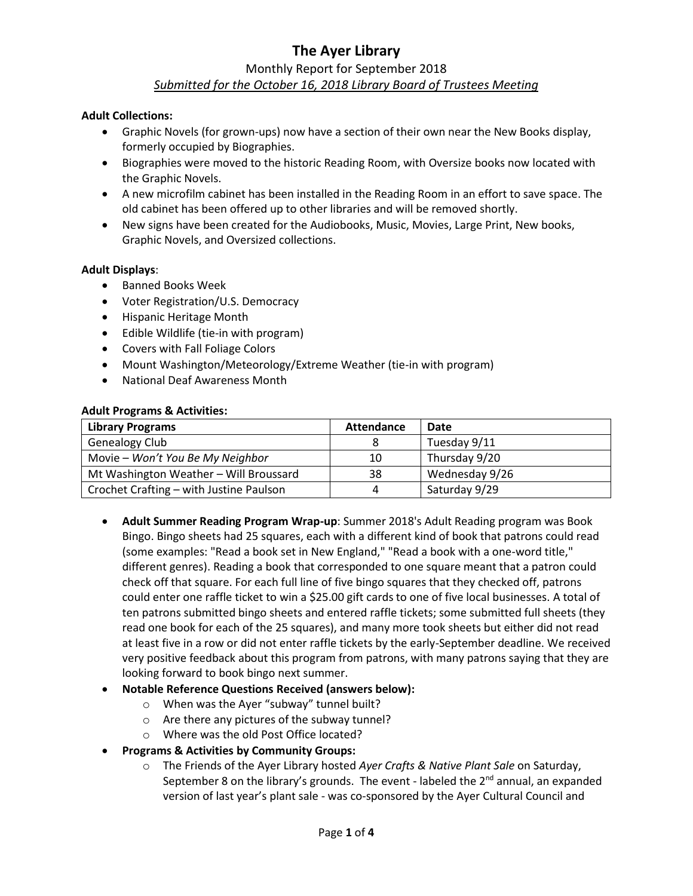# **The Ayer Library** Monthly Report for September 2018 *Submitted for the October 16, 2018 Library Board of Trustees Meeting*

#### **Adult Collections:**

- Graphic Novels (for grown-ups) now have a section of their own near the New Books display, formerly occupied by Biographies.
- Biographies were moved to the historic Reading Room, with Oversize books now located with the Graphic Novels.
- A new microfilm cabinet has been installed in the Reading Room in an effort to save space. The old cabinet has been offered up to other libraries and will be removed shortly.
- New signs have been created for the Audiobooks, Music, Movies, Large Print, New books, Graphic Novels, and Oversized collections.

#### **Adult Displays**:

- **•** Banned Books Week
- Voter Registration/U.S. Democracy
- Hispanic Heritage Month
- Edible Wildlife (tie-in with program)
- Covers with Fall Foliage Colors
- Mount Washington/Meteorology/Extreme Weather (tie-in with program)
- National Deaf Awareness Month

#### **Adult Programs & Activities:**

| <b>Library Programs</b>                 | <b>Attendance</b> | Date           |
|-----------------------------------------|-------------------|----------------|
| <b>Genealogy Club</b>                   |                   | Tuesday 9/11   |
| Movie - Won't You Be My Neighbor        | 10                | Thursday 9/20  |
| Mt Washington Weather - Will Broussard  | 38                | Wednesday 9/26 |
| Crochet Crafting - with Justine Paulson |                   | Saturday 9/29  |

- **Adult Summer Reading Program Wrap-up**: Summer 2018's Adult Reading program was Book Bingo. Bingo sheets had 25 squares, each with a different kind of book that patrons could read (some examples: "Read a book set in New England," "Read a book with a one-word title," different genres). Reading a book that corresponded to one square meant that a patron could check off that square. For each full line of five bingo squares that they checked off, patrons could enter one raffle ticket to win a \$25.00 gift cards to one of five local businesses. A total of ten patrons submitted bingo sheets and entered raffle tickets; some submitted full sheets (they read one book for each of the 25 squares), and many more took sheets but either did not read at least five in a row or did not enter raffle tickets by the early-September deadline. We received very positive feedback about this program from patrons, with many patrons saying that they are looking forward to book bingo next summer.
- **Notable Reference Questions Received (answers below):**
	- o When was the Ayer "subway" tunnel built?
	- o Are there any pictures of the subway tunnel?
	- o Where was the old Post Office located?
- **Programs & Activities by Community Groups:**
	- o The Friends of the Ayer Library hosted *Ayer Crafts & Native Plant Sale* on Saturday, September 8 on the library's grounds. The event - labeled the  $2<sup>nd</sup>$  annual, an expanded version of last year's plant sale - was co-sponsored by the Ayer Cultural Council and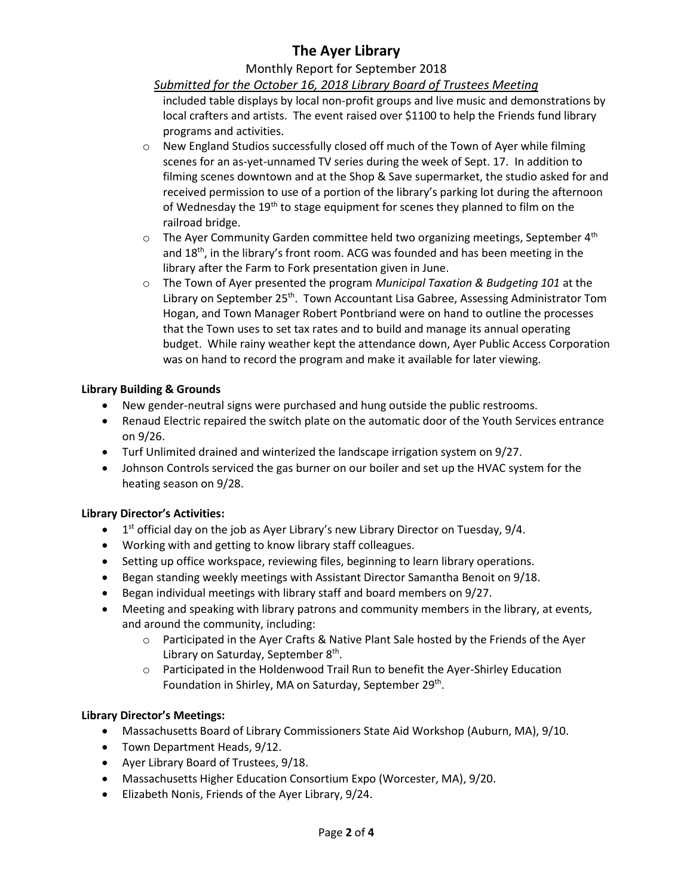# **The Ayer Library**

# Monthly Report for September 2018

# *Submitted for the October 16, 2018 Library Board of Trustees Meeting*

included table displays by local non-profit groups and live music and demonstrations by local crafters and artists. The event raised over \$1100 to help the Friends fund library programs and activities.

- $\circ$  New England Studios successfully closed off much of the Town of Ayer while filming scenes for an as-yet-unnamed TV series during the week of Sept. 17. In addition to filming scenes downtown and at the Shop & Save supermarket, the studio asked for and received permission to use of a portion of the library's parking lot during the afternoon of Wednesday the 19<sup>th</sup> to stage equipment for scenes they planned to film on the railroad bridge.
- $\circ$  The Ayer Community Garden committee held two organizing meetings, September 4<sup>th</sup> and  $18<sup>th</sup>$ , in the library's front room. ACG was founded and has been meeting in the library after the Farm to Fork presentation given in June.
- o The Town of Ayer presented the program *Municipal Taxation & Budgeting 101* at the Library on September 25<sup>th</sup>. Town Accountant Lisa Gabree, Assessing Administrator Tom Hogan, and Town Manager Robert Pontbriand were on hand to outline the processes that the Town uses to set tax rates and to build and manage its annual operating budget. While rainy weather kept the attendance down, Ayer Public Access Corporation was on hand to record the program and make it available for later viewing.

# **Library Building & Grounds**

- New gender-neutral signs were purchased and hung outside the public restrooms.
- Renaud Electric repaired the switch plate on the automatic door of the Youth Services entrance on 9/26.
- Turf Unlimited drained and winterized the landscape irrigation system on 9/27.
- Johnson Controls serviced the gas burner on our boiler and set up the HVAC system for the heating season on 9/28.

# **Library Director's Activities:**

- $\bullet$  1<sup>st</sup> official day on the job as Ayer Library's new Library Director on Tuesday, 9/4.
- Working with and getting to know library staff colleagues.
- Setting up office workspace, reviewing files, beginning to learn library operations.
- **•** Began standing weekly meetings with Assistant Director Samantha Benoit on 9/18.
- Began individual meetings with library staff and board members on 9/27.
- Meeting and speaking with library patrons and community members in the library, at events, and around the community, including:
	- o Participated in the Ayer Crafts & Native Plant Sale hosted by the Friends of the Ayer Library on Saturday, September 8<sup>th</sup>.
	- o Participated in the Holdenwood Trail Run to benefit the Ayer-Shirley Education Foundation in Shirley, MA on Saturday, September 29<sup>th</sup>.

# **Library Director's Meetings:**

- Massachusetts Board of Library Commissioners State Aid Workshop (Auburn, MA), 9/10.
- Town Department Heads, 9/12.
- Ayer Library Board of Trustees, 9/18.
- Massachusetts Higher Education Consortium Expo (Worcester, MA), 9/20.
- Elizabeth Nonis, Friends of the Ayer Library, 9/24.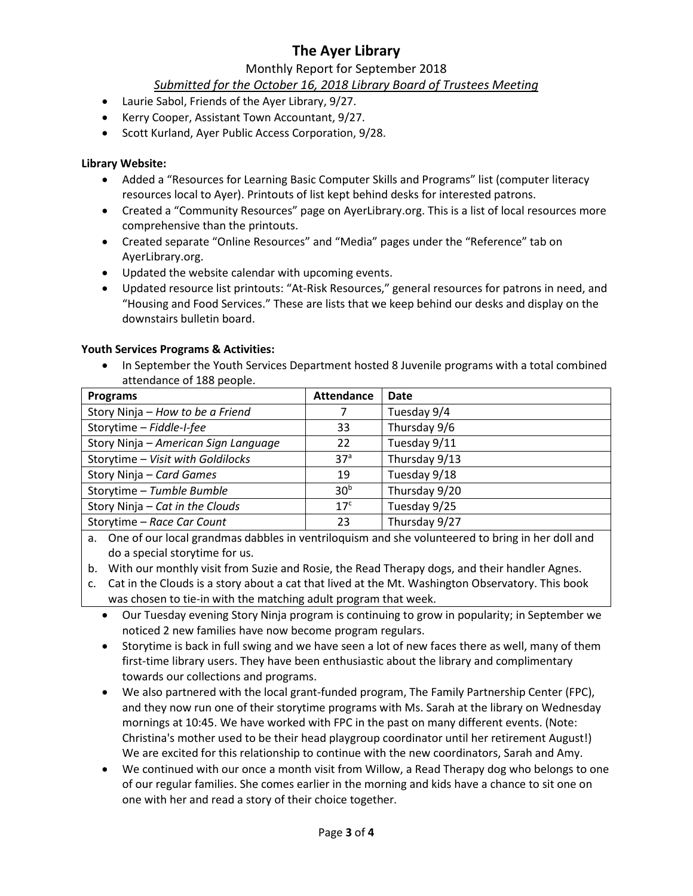# **The Ayer Library**

# Monthly Report for September 2018

# *Submitted for the October 16, 2018 Library Board of Trustees Meeting*

- Laurie Sabol, Friends of the Ayer Library, 9/27.
- Kerry Cooper, Assistant Town Accountant, 9/27.
- Scott Kurland, Ayer Public Access Corporation, 9/28.

### **Library Website:**

- Added a "Resources for Learning Basic Computer Skills and Programs" list (computer literacy resources local to Ayer). Printouts of list kept behind desks for interested patrons.
- Created a "Community Resources" page on AyerLibrary.org. This is a list of local resources more comprehensive than the printouts.
- Created separate "Online Resources" and "Media" pages under the "Reference" tab on AyerLibrary.org.
- Updated the website calendar with upcoming events.
- Updated resource list printouts: "At-Risk Resources," general resources for patrons in need, and "Housing and Food Services." These are lists that we keep behind our desks and display on the downstairs bulletin board.

#### **Youth Services Programs & Activities:**

• In September the Youth Services Department hosted 8 Juvenile programs with a total combined attendance of 188 people.

| <b>Programs</b>                      | <b>Attendance</b> | Date          |
|--------------------------------------|-------------------|---------------|
| Story Ninja – How to be a Friend     |                   | Tuesday 9/4   |
| Storytime - Fiddle-I-fee             | 33                | Thursday 9/6  |
| Story Ninja - American Sign Language | 22                | Tuesday 9/11  |
| Storytime - Visit with Goldilocks    | 37 <sup>a</sup>   | Thursday 9/13 |
| Story Ninja - Card Games             | 19                | Tuesday 9/18  |
| Storytime - Tumble Bumble            | 30 <sup>b</sup>   | Thursday 9/20 |
| Story Ninja - Cat in the Clouds      | 17 <sup>c</sup>   | Tuesday 9/25  |
| Storytime - Race Car Count           | 23                | Thursday 9/27 |

a. One of our local grandmas dabbles in ventriloquism and she volunteered to bring in her doll and do a special storytime for us.

b. With our monthly visit from Suzie and Rosie, the Read Therapy dogs, and their handler Agnes.

- c. Cat in the Clouds is a story about a cat that lived at the Mt. Washington Observatory. This book was chosen to tie-in with the matching adult program that week.
	- Our Tuesday evening Story Ninja program is continuing to grow in popularity; in September we noticed 2 new families have now become program regulars.
	- Storytime is back in full swing and we have seen a lot of new faces there as well, many of them first-time library users. They have been enthusiastic about the library and complimentary towards our collections and programs.
	- We also partnered with the local grant-funded program, The Family Partnership Center (FPC), and they now run one of their storytime programs with Ms. Sarah at the library on Wednesday mornings at 10:45. We have worked with FPC in the past on many different events. (Note: Christina's mother used to be their head playgroup coordinator until her retirement August!) We are excited for this relationship to continue with the new coordinators, Sarah and Amy.
	- We continued with our once a month visit from Willow, a Read Therapy dog who belongs to one of our regular families. She comes earlier in the morning and kids have a chance to sit one on one with her and read a story of their choice together.